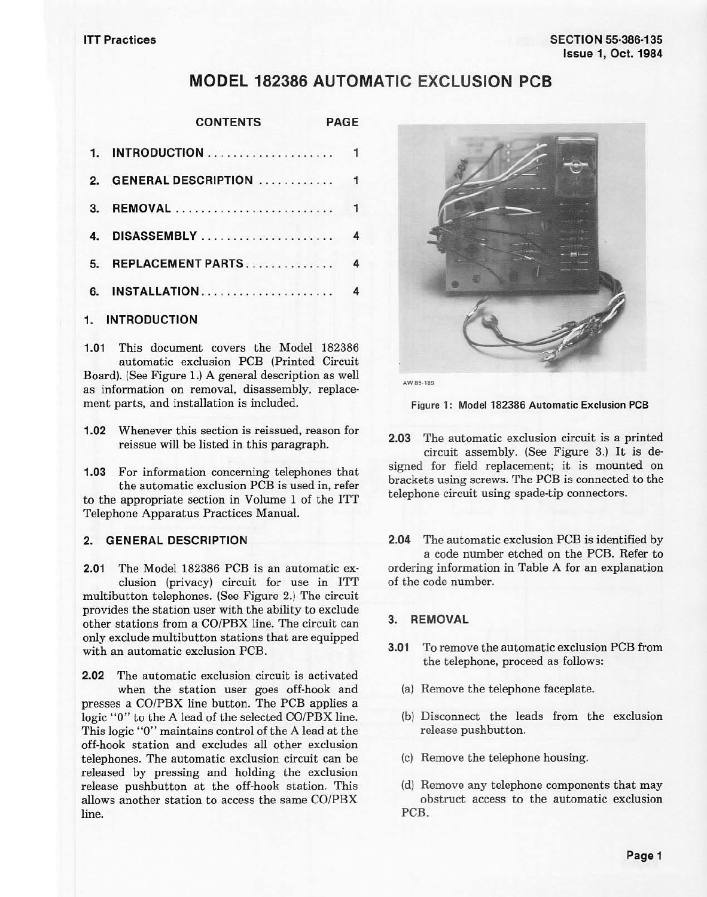# **MODEL 182386 AUTOMATIC EXCLUSION PCB**

| <b>CONTENTS</b> | <b>PAGE</b> |
|-----------------|-------------|
|                 |             |

| $\mathbf{r}$ | <b>GENERAL DESCRIPTION</b> | $\mathbf{1}$ |
|--------------|----------------------------|--------------|
| $\mathbf{R}$ |                            | $\mathbf{1}$ |
| $\mathbf{A}$ |                            | 4            |
| 5.           | REPLACEMENT PARTS          | 4            |
| 6.           | INSTALLATION               | 4            |
|              |                            |              |

# **1. INTRODUCTION**

**1.01** This document covers the Model 182386 automatic exclusion PCB (Printed Circuit Board). (See Figure 1.) A general description as well as information on removal, disassembly, replacement parts, and installation is included.

**1.02** Whenever this section is reissued, reason for reissue will be listed in this paragraph.

**1.03** For information concerning telephones that the automatic exclusion PCB is used in, refer to the appropriate section in Volume 1 of the ITT Telephone Apparatus Practices Manual.

### **2. GENERAL DESCRIPTION**

**2.01** The Model 182386 PCB is an automatic exclusion (privacy) circuit for use in ITT multibutton telephones. (See Figure 2.) The circuit provides the station user with the ability to exclude other stations from a CO/PBX line. The circuit can only exclude multibutton stations that are equipped with an automatic exclusion PCB.

**2.02** The automatic exclusion circuit is activated when the station user goes off-hook and presses a CO/PBX line button. The PCB applies a logic "O" to the A lead of the selected CO/PBX line. This logic ''O" maintains control of the A lead at the off-hook station and excludes all other exclusion telephones. The automatic exclusion circuit can be released by pressing and holding the exclusion release pushbutton at the off-hook station. This allows another station to access the same CO/PBX line.



**AW 85•189** 

Figure 1: Model 182386 Automatic Exclusion PCB

**2.03** The automatic exclusion circuit is a printed circuit assembly. (See Figure 3.) It is de-

signed for field replacement; it is mounted on brackets using screws. The PCB is connected to the telephone circuit using spade-tip connectors.

**2.04** The automatic exclusion PCB is identified by a code number etched on the PCB. Refer to ordering information in Table A for an explanation of the code number.

#### **3. REMOVAL**

- **3.01** To remove the automatic exclusion PCB from the telephone, proceed as follows:
	- (a) Remove the telephone faceplate.
	- (b) Disconnect the leads from the exclusion release pushbutton.
	- (c) Remove the telephone housing.
	- (d) Remove any telephone components that may obstruct access to the automatic exclusion PCB.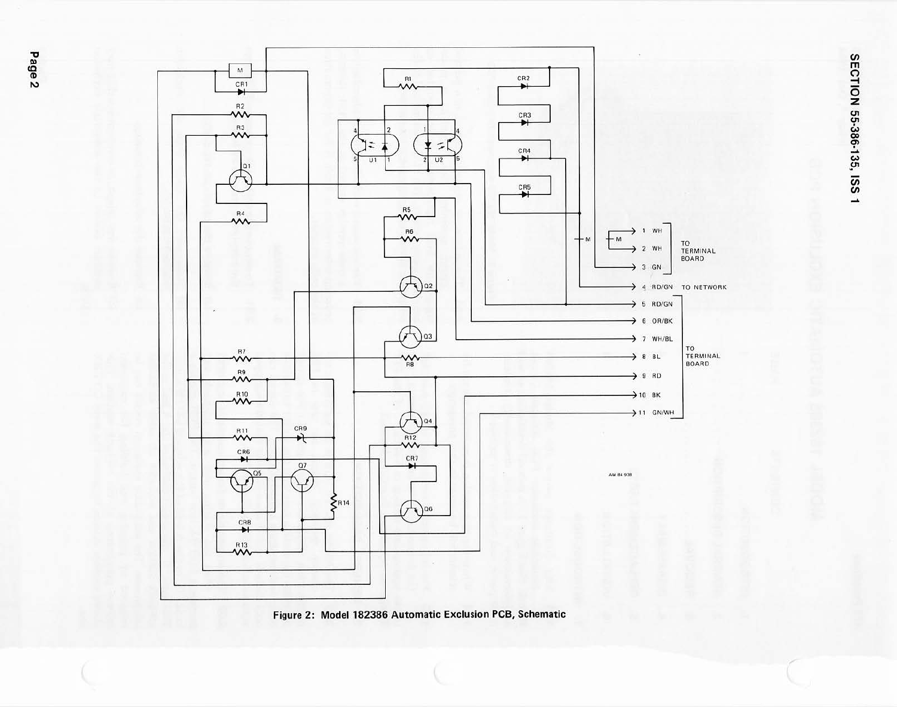



Figure 2: Model 182386 Automatic Exclusion PCB, Schematic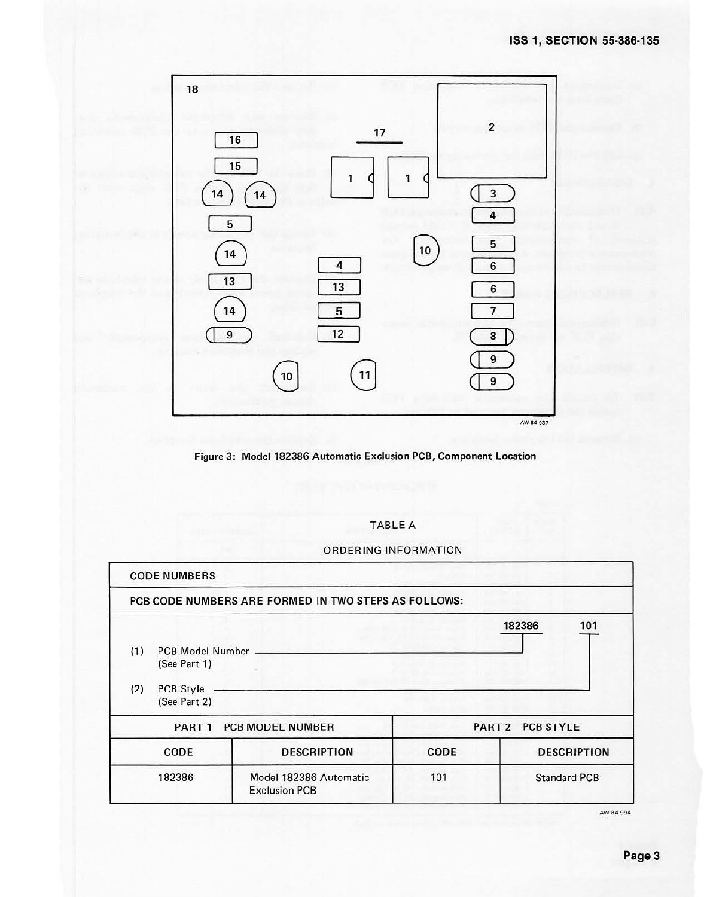



### TABLE A

ORDERING INFORMATION

| <b>CODE NUMBERS</b>                          |                  |                                                      |                  |                     |  |  |
|----------------------------------------------|------------------|------------------------------------------------------|------------------|---------------------|--|--|
|                                              |                  | PCB CODE NUMBERS ARE FORMED IN TWO STEPS AS FOLLOWS: |                  |                     |  |  |
|                                              |                  |                                                      |                  | 182386<br>101       |  |  |
| (1)                                          | PCB Model Number |                                                      |                  |                     |  |  |
|                                              | (See Part 1)     |                                                      |                  |                     |  |  |
| (2)                                          | PCB Style        |                                                      |                  |                     |  |  |
|                                              | (See Part 2)     |                                                      |                  |                     |  |  |
| <b>PCB MODEL NUMBER</b><br>PART <sub>1</sub> |                  |                                                      | PART 2 PCB STYLE |                     |  |  |
|                                              | CODE             | <b>DESCRIPTION</b>                                   | <b>CODE</b>      | <b>DESCRIPTION</b>  |  |  |
|                                              | 182386           | Model 182386 Automatic                               | 101              | <b>Standard PCB</b> |  |  |
|                                              |                  | <b>Exclusion PCB</b>                                 |                  |                     |  |  |

AW84-99d